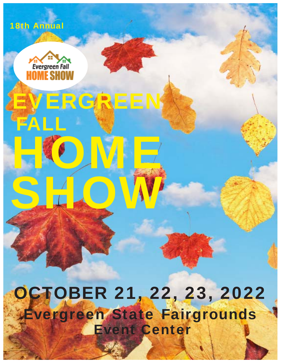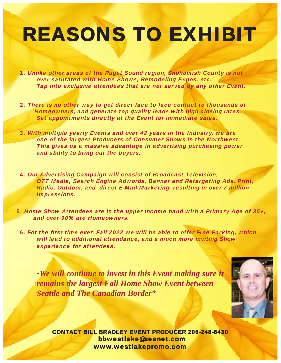## **REASONS TO EXHIBIT**

1. Unlike other areas of the Puget Sound region, Snohomish County is not over saturated with Home Shows, Remodeling Expos, etc. Tap into exclusive attendees that are not served by any other Event.

- 2. There is no other way to get direct face to face contact to thousands of Homeowners, and generate top quality leads with high closing rates. Set appointments directly at the Event for immediate sales.
- 3. With multiple yearly Events and over 42 years in the Industry, we are one of the largest Producers of Consumer Shows in the Northwest. This gives us a massive advantage in advertising purchasing power and ability to bring out the buyers.
- 4. Our Advertising Campaign will consist of Broadcast Television, OTT Media, Search Engine Adwords, Banner and Retargeting Ads, Print, Radio, Outdoor, and direct E-Mail Marketing, resulting in over 7 million Impressions.
- 5. Home Show Attendees are in the upper income band with a Primary Age of 35+, and over 90% are Homeowners.
	- 6. For the first time ever, Fall 2022 we will be able to offer Free Parking, which will lead to additional attendance, and a much more inviting Show experience for attendees.

*"We will continue to invest in this Event making sure it remains the largest Fall Home Show Event between Seattle and The Canadian Border"*



CONTACT BILL BRADLEY EVENT PRODUCER 206-248-8430 bbwestlake@seanet.com www.westlakepromo.com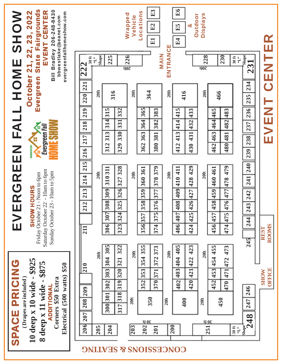